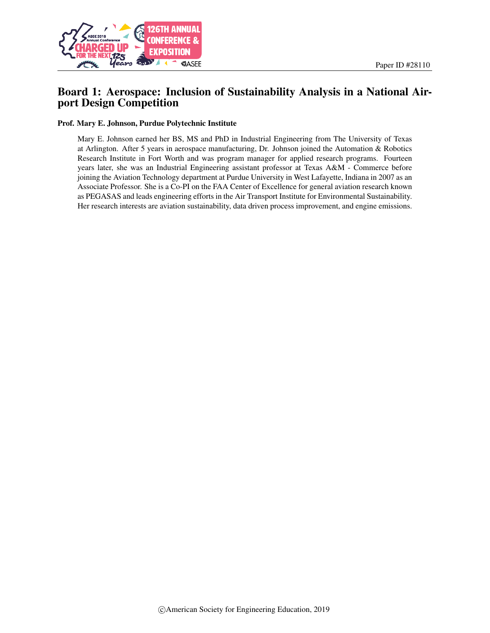

# Board 1: Aerospace: Inclusion of Sustainability Analysis in a National Airport Design Competition

#### Prof. Mary E. Johnson, Purdue Polytechnic Institute

Mary E. Johnson earned her BS, MS and PhD in Industrial Engineering from The University of Texas at Arlington. After 5 years in aerospace manufacturing, Dr. Johnson joined the Automation & Robotics Research Institute in Fort Worth and was program manager for applied research programs. Fourteen years later, she was an Industrial Engineering assistant professor at Texas A&M - Commerce before joining the Aviation Technology department at Purdue University in West Lafayette, Indiana in 2007 as an Associate Professor. She is a Co-PI on the FAA Center of Excellence for general aviation research known as PEGASAS and leads engineering efforts in the Air Transport Institute for Environmental Sustainability. Her research interests are aviation sustainability, data driven process improvement, and engine emissions.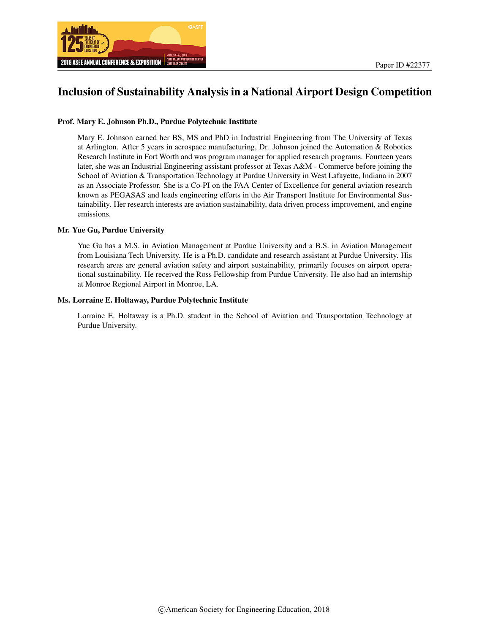

# Inclusion of Sustainability Analysis in a National Airport Design Competition

#### Prof. Mary E. Johnson Ph.D., Purdue Polytechnic Institute

Mary E. Johnson earned her BS, MS and PhD in Industrial Engineering from The University of Texas at Arlington. After 5 years in aerospace manufacturing, Dr. Johnson joined the Automation & Robotics Research Institute in Fort Worth and was program manager for applied research programs. Fourteen years later, she was an Industrial Engineering assistant professor at Texas A&M - Commerce before joining the School of Aviation & Transportation Technology at Purdue University in West Lafayette, Indiana in 2007 as an Associate Professor. She is a Co-PI on the FAA Center of Excellence for general aviation research known as PEGASAS and leads engineering efforts in the Air Transport Institute for Environmental Sustainability. Her research interests are aviation sustainability, data driven process improvement, and engine emissions.

#### Mr. Yue Gu, Purdue University

Yue Gu has a M.S. in Aviation Management at Purdue University and a B.S. in Aviation Management from Louisiana Tech University. He is a Ph.D. candidate and research assistant at Purdue University. His research areas are general aviation safety and airport sustainability, primarily focuses on airport operational sustainability. He received the Ross Fellowship from Purdue University. He also had an internship at Monroe Regional Airport in Monroe, LA.

#### Ms. Lorraine E. Holtaway, Purdue Polytechnic Institute

Lorraine E. Holtaway is a Ph.D. student in the School of Aviation and Transportation Technology at Purdue University.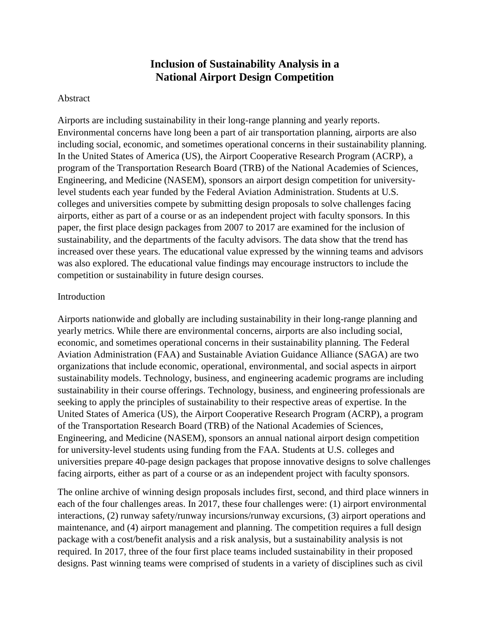# **Inclusion of Sustainability Analysis in a National Airport Design Competition**

#### Abstract

Airports are including sustainability in their long-range planning and yearly reports. Environmental concerns have long been a part of air transportation planning, airports are also including social, economic, and sometimes operational concerns in their sustainability planning. In the United States of America (US), the Airport Cooperative Research Program (ACRP), a program of the Transportation Research Board (TRB) of the National Academies of Sciences, Engineering, and Medicine (NASEM), sponsors an airport design competition for universitylevel students each year funded by the Federal Aviation Administration. Students at U.S. colleges and universities compete by submitting design proposals to solve challenges facing airports, either as part of a course or as an independent project with faculty sponsors. In this paper, the first place design packages from 2007 to 2017 are examined for the inclusion of sustainability, and the departments of the faculty advisors. The data show that the trend has increased over these years. The educational value expressed by the winning teams and advisors was also explored. The educational value findings may encourage instructors to include the competition or sustainability in future design courses.

### Introduction

Airports nationwide and globally are including sustainability in their long-range planning and yearly metrics. While there are environmental concerns, airports are also including social, economic, and sometimes operational concerns in their sustainability planning. The Federal Aviation Administration (FAA) and Sustainable Aviation Guidance Alliance (SAGA) are two organizations that include economic, operational, environmental, and social aspects in airport sustainability models. Technology, business, and engineering academic programs are including sustainability in their course offerings. Technology, business, and engineering professionals are seeking to apply the principles of sustainability to their respective areas of expertise. In the United States of America (US), the Airport Cooperative Research Program (ACRP), a program of the Transportation Research Board (TRB) of the National Academies of Sciences, Engineering, and Medicine (NASEM), sponsors an annual national airport design competition for university-level students using funding from the FAA. Students at U.S. colleges and universities prepare 40-page design packages that propose innovative designs to solve challenges facing airports, either as part of a course or as an independent project with faculty sponsors.

The online archive of winning design proposals includes first, second, and third place winners in each of the four challenges areas. In 2017, these four challenges were: (1) airport environmental interactions, (2) runway safety/runway incursions/runway excursions, (3) airport operations and maintenance, and (4) airport management and planning. The competition requires a full design package with a cost/benefit analysis and a risk analysis, but a sustainability analysis is not required. In 2017, three of the four first place teams included sustainability in their proposed designs. Past winning teams were comprised of students in a variety of disciplines such as civil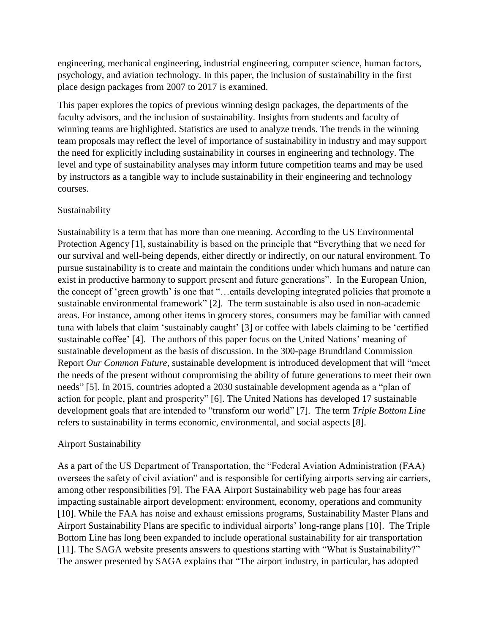engineering, mechanical engineering, industrial engineering, computer science, human factors, psychology, and aviation technology. In this paper, the inclusion of sustainability in the first place design packages from 2007 to 2017 is examined.

This paper explores the topics of previous winning design packages, the departments of the faculty advisors, and the inclusion of sustainability. Insights from students and faculty of winning teams are highlighted. Statistics are used to analyze trends. The trends in the winning team proposals may reflect the level of importance of sustainability in industry and may support the need for explicitly including sustainability in courses in engineering and technology. The level and type of sustainability analyses may inform future competition teams and may be used by instructors as a tangible way to include sustainability in their engineering and technology courses.

### Sustainability

Sustainability is a term that has more than one meaning. According to the US Environmental Protection Agency [1], sustainability is based on the principle that "Everything that we need for our survival and well-being depends, either directly or indirectly, on our natural environment. To pursue sustainability is to create and maintain the conditions under which humans and nature can exist in productive harmony to support present and future generations". In the European Union, the concept of 'green growth' is one that "…entails developing integrated policies that promote a sustainable environmental framework" [2]. The term sustainable is also used in non-academic areas. For instance, among other items in grocery stores, consumers may be familiar with canned tuna with labels that claim 'sustainably caught' [3] or coffee with labels claiming to be 'certified sustainable coffee' [4]. The authors of this paper focus on the United Nations' meaning of sustainable development as the basis of discussion. In the 300-page Brundtland Commission Report *Our Common Future*, sustainable development is introduced development that will "meet the needs of the present without compromising the ability of future generations to meet their own needs" [5]. In 2015, countries adopted a 2030 sustainable development agenda as a "plan of action for people, plant and prosperity" [6]. The United Nations has developed 17 sustainable development goals that are intended to "transform our world" [7]. The term *Triple Bottom Line* refers to sustainability in terms economic, environmental, and social aspects [8].

## Airport Sustainability

As a part of the US Department of Transportation, the "Federal Aviation Administration (FAA) oversees the safety of civil aviation" and is responsible for certifying airports serving air carriers, among other responsibilities [9]. The FAA Airport Sustainability web page has four areas impacting sustainable airport development: environment, economy, operations and community [10]. While the FAA has noise and exhaust emissions programs, Sustainability Master Plans and Airport Sustainability Plans are specific to individual airports' long-range plans [10]. The Triple Bottom Line has long been expanded to include operational sustainability for air transportation [11]. The SAGA website presents answers to questions starting with "What is Sustainability?" The answer presented by SAGA explains that "The airport industry, in particular, has adopted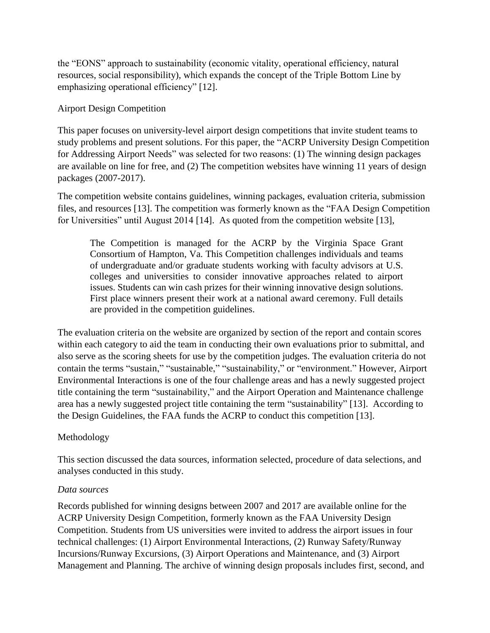the "EONS" approach to sustainability (economic vitality, operational efficiency, natural resources, social responsibility), which expands the concept of the Triple Bottom Line by emphasizing operational efficiency" [12].

## Airport Design Competition

This paper focuses on university-level airport design competitions that invite student teams to study problems and present solutions. For this paper, the "ACRP University Design Competition for Addressing Airport Needs" was selected for two reasons: (1) The winning design packages are available on line for free, and (2) The competition websites have winning 11 years of design packages (2007-2017).

The competition website contains guidelines, winning packages, evaluation criteria, submission files, and resources [13]. The competition was formerly known as the "FAA Design Competition for Universities" until August 2014 [14]. As quoted from the competition website [13],

The Competition is managed for the ACRP by the [Virginia Space Grant](http://vsgc.odu.edu/)  [Consortium](http://vsgc.odu.edu/) of Hampton, Va. This Competition challenges individuals and teams of undergraduate and/or graduate students working with faculty advisors at U.S. colleges and universities to consider innovative approaches related to airport issues. Students can win cash prizes for their winning innovative design solutions. First place winners present their work at a national award ceremony. Full details are provided in the competition guidelines.

The evaluation criteria on the website are organized by section of the report and contain scores within each category to aid the team in conducting their own evaluations prior to submittal, and also serve as the scoring sheets for use by the competition judges. The evaluation criteria do not contain the terms "sustain," "sustainable," "sustainability," or "environment." However, Airport Environmental Interactions is one of the four challenge areas and has a newly suggested project title containing the term "sustainability," and the Airport Operation and Maintenance challenge area has a newly suggested project title containing the term "sustainability" [13]. According to the Design Guidelines, the FAA funds the ACRP to conduct this competition [13].

## Methodology

This section discussed the data sources, information selected, procedure of data selections, and analyses conducted in this study.

### *Data sources*

Records published for winning designs between 2007 and 2017 are available online for the ACRP University Design Competition, formerly known as the FAA University Design Competition. Students from US universities were invited to address the airport issues in four technical challenges: (1) Airport Environmental Interactions, (2) Runway Safety/Runway Incursions/Runway Excursions, (3) Airport Operations and Maintenance, and (3) Airport Management and Planning. The archive of winning design proposals includes first, second, and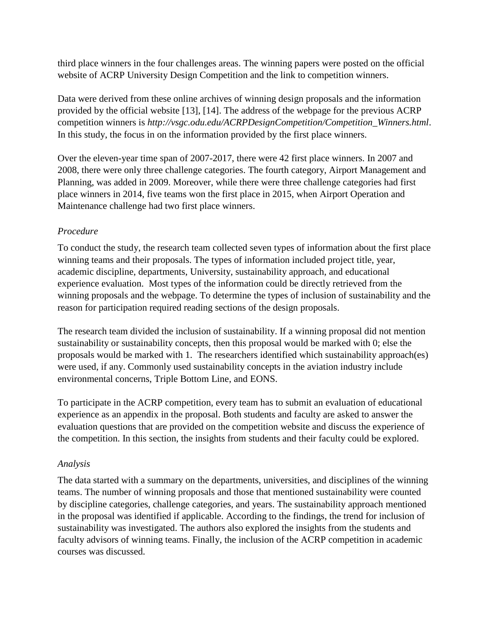third place winners in the four challenges areas. The winning papers were posted on the official website of ACRP University Design Competition and the link to competition winners.

Data were derived from these online archives of winning design proposals and the information provided by the official website [13], [14]. The address of the webpage for the previous ACRP competition winners is *http://vsgc.odu.edu/ACRPDesignCompetition/Competition\_Winners.html*. In this study, the focus in on the information provided by the first place winners.

Over the eleven-year time span of 2007-2017, there were 42 first place winners. In 2007 and 2008, there were only three challenge categories. The fourth category, Airport Management and Planning, was added in 2009. Moreover, while there were three challenge categories had first place winners in 2014, five teams won the first place in 2015, when Airport Operation and Maintenance challenge had two first place winners.

## *Procedure*

To conduct the study, the research team collected seven types of information about the first place winning teams and their proposals. The types of information included project title, year, academic discipline, departments, University, sustainability approach, and educational experience evaluation. Most types of the information could be directly retrieved from the winning proposals and the webpage. To determine the types of inclusion of sustainability and the reason for participation required reading sections of the design proposals.

The research team divided the inclusion of sustainability. If a winning proposal did not mention sustainability or sustainability concepts, then this proposal would be marked with 0; else the proposals would be marked with 1. The researchers identified which sustainability approach(es) were used, if any. Commonly used sustainability concepts in the aviation industry include environmental concerns, Triple Bottom Line, and EONS.

To participate in the ACRP competition, every team has to submit an evaluation of educational experience as an appendix in the proposal. Both students and faculty are asked to answer the evaluation questions that are provided on the competition website and discuss the experience of the competition. In this section, the insights from students and their faculty could be explored.

## *Analysis*

The data started with a summary on the departments, universities, and disciplines of the winning teams. The number of winning proposals and those that mentioned sustainability were counted by discipline categories, challenge categories, and years. The sustainability approach mentioned in the proposal was identified if applicable. According to the findings, the trend for inclusion of sustainability was investigated. The authors also explored the insights from the students and faculty advisors of winning teams. Finally, the inclusion of the ACRP competition in academic courses was discussed.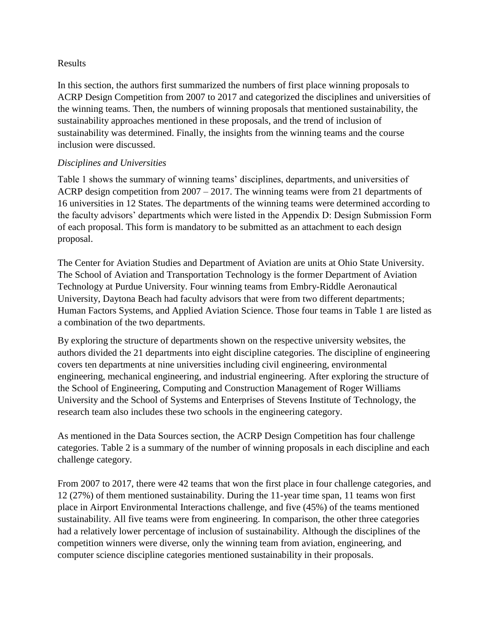### Results

In this section, the authors first summarized the numbers of first place winning proposals to ACRP Design Competition from 2007 to 2017 and categorized the disciplines and universities of the winning teams. Then, the numbers of winning proposals that mentioned sustainability, the sustainability approaches mentioned in these proposals, and the trend of inclusion of sustainability was determined. Finally, the insights from the winning teams and the course inclusion were discussed.

## *Disciplines and Universities*

Table 1 shows the summary of winning teams' disciplines, departments, and universities of ACRP design competition from 2007 – 2017. The winning teams were from 21 departments of 16 universities in 12 States. The departments of the winning teams were determined according to the faculty advisors' departments which were listed in the Appendix D: Design Submission Form of each proposal. This form is mandatory to be submitted as an attachment to each design proposal.

The Center for Aviation Studies and Department of Aviation are units at Ohio State University. The School of Aviation and Transportation Technology is the former Department of Aviation Technology at Purdue University. Four winning teams from Embry-Riddle Aeronautical University, Daytona Beach had faculty advisors that were from two different departments; Human Factors Systems, and Applied Aviation Science. Those four teams in Table 1 are listed as a combination of the two departments.

By exploring the structure of departments shown on the respective university websites, the authors divided the 21 departments into eight discipline categories. The discipline of engineering covers ten departments at nine universities including civil engineering, environmental engineering, mechanical engineering, and industrial engineering. After exploring the structure of the School of Engineering, Computing and Construction Management of Roger Williams University and the School of Systems and Enterprises of Stevens Institute of Technology, the research team also includes these two schools in the engineering category.

As mentioned in the Data Sources section, the ACRP Design Competition has four challenge categories. Table 2 is a summary of the number of winning proposals in each discipline and each challenge category.

From 2007 to 2017, there were 42 teams that won the first place in four challenge categories, and 12 (27%) of them mentioned sustainability. During the 11-year time span, 11 teams won first place in Airport Environmental Interactions challenge, and five (45%) of the teams mentioned sustainability. All five teams were from engineering. In comparison, the other three categories had a relatively lower percentage of inclusion of sustainability. Although the disciplines of the competition winners were diverse, only the winning team from aviation, engineering, and computer science discipline categories mentioned sustainability in their proposals.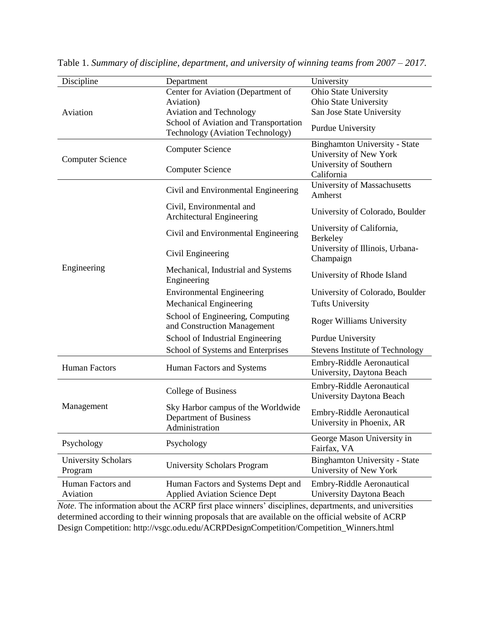| Discipline                            | Department                                                                     | University                                                     |  |
|---------------------------------------|--------------------------------------------------------------------------------|----------------------------------------------------------------|--|
| Aviation                              | Center for Aviation (Department of                                             | Ohio State University                                          |  |
|                                       | Aviation)                                                                      | Ohio State University                                          |  |
|                                       | <b>Aviation and Technology</b>                                                 | San Jose State University                                      |  |
|                                       | School of Aviation and Transportation<br>Technology (Aviation Technology)      | Purdue University                                              |  |
| <b>Computer Science</b>               | <b>Computer Science</b>                                                        | <b>Binghamton University - State</b><br>University of New York |  |
|                                       | <b>Computer Science</b>                                                        | University of Southern<br>California                           |  |
| Engineering                           | Civil and Environmental Engineering                                            | University of Massachusetts<br>Amherst                         |  |
|                                       | Civil, Environmental and<br>Architectural Engineering                          | University of Colorado, Boulder                                |  |
|                                       | Civil and Environmental Engineering                                            | University of California,<br>Berkeley                          |  |
|                                       | Civil Engineering                                                              | University of Illinois, Urbana-<br>Champaign                   |  |
|                                       | Mechanical, Industrial and Systems<br>Engineering                              | University of Rhode Island                                     |  |
|                                       | <b>Environmental Engineering</b>                                               | University of Colorado, Boulder                                |  |
|                                       | <b>Mechanical Engineering</b>                                                  | <b>Tufts University</b>                                        |  |
|                                       | School of Engineering, Computing<br>and Construction Management                | <b>Roger Williams University</b>                               |  |
|                                       | School of Industrial Engineering                                               | Purdue University                                              |  |
|                                       | School of Systems and Enterprises                                              | <b>Stevens Institute of Technology</b>                         |  |
| <b>Human Factors</b>                  | Human Factors and Systems                                                      | <b>Embry-Riddle Aeronautical</b><br>University, Daytona Beach  |  |
| Management                            | College of Business                                                            | <b>Embry-Riddle Aeronautical</b><br>University Daytona Beach   |  |
|                                       | Sky Harbor campus of the Worldwide<br>Department of Business<br>Administration | <b>Embry-Riddle Aeronautical</b><br>University in Phoenix, AR  |  |
| Psychology                            | Psychology                                                                     | George Mason University in<br>Fairfax, VA                      |  |
| <b>University Scholars</b><br>Program | <b>University Scholars Program</b>                                             | <b>Binghamton University - State</b><br>University of New York |  |
| Human Factors and<br>Aviation         | Human Factors and Systems Dept and<br><b>Applied Aviation Science Dept</b>     | <b>Embry-Riddle Aeronautical</b><br>University Daytona Beach   |  |

Table 1. *Summary of discipline, department, and university of winning teams from 2007 – 2017.*

*Note*. The information about the ACRP first place winners' disciplines, departments, and universities determined according to their winning proposals that are available on the official website of ACRP Design Competition: http://vsgc.odu.edu/ACRPDesignCompetition/Competition\_Winners.html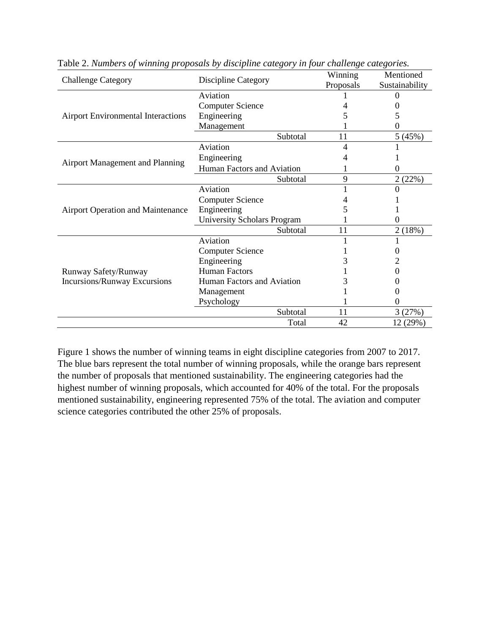|                                           | Discipline Category                | Winning   | Mentioned      |
|-------------------------------------------|------------------------------------|-----------|----------------|
| <b>Challenge Category</b>                 |                                    | Proposals | Sustainability |
|                                           | Aviation                           |           |                |
|                                           | <b>Computer Science</b>            |           |                |
| <b>Airport Environmental Interactions</b> | Engineering                        |           |                |
|                                           | Management                         |           |                |
|                                           | Subtotal                           | 11        | 5(45%)         |
|                                           | Aviation                           | 4         |                |
|                                           | Engineering                        |           |                |
| Airport Management and Planning           | Human Factors and Aviation         |           |                |
|                                           | Subtotal                           | 9         | 2(22%)         |
|                                           | Aviation                           |           |                |
|                                           | <b>Computer Science</b>            |           |                |
| Airport Operation and Maintenance         | Engineering                        |           |                |
|                                           | <b>University Scholars Program</b> |           |                |
|                                           | Subtotal                           | 11        | 2(18%)         |
|                                           | Aviation                           |           |                |
|                                           | <b>Computer Science</b>            |           |                |
|                                           | Engineering                        |           |                |
| Runway Safety/Runway                      | <b>Human Factors</b>               |           |                |
| Incursions/Runway Excursions              | Human Factors and Aviation         |           |                |
|                                           | Management                         |           |                |
|                                           | Psychology                         |           |                |
|                                           | Subtotal                           | 11        | 3(27%)         |
|                                           | Total                              | 42        | 12 (29%)       |

Table 2. *Numbers of winning proposals by discipline category in four challenge categories.*

Figure 1 shows the number of winning teams in eight discipline categories from 2007 to 2017. The blue bars represent the total number of winning proposals, while the orange bars represent the number of proposals that mentioned sustainability. The engineering categories had the highest number of winning proposals, which accounted for 40% of the total. For the proposals mentioned sustainability, engineering represented 75% of the total. The aviation and computer science categories contributed the other 25% of proposals.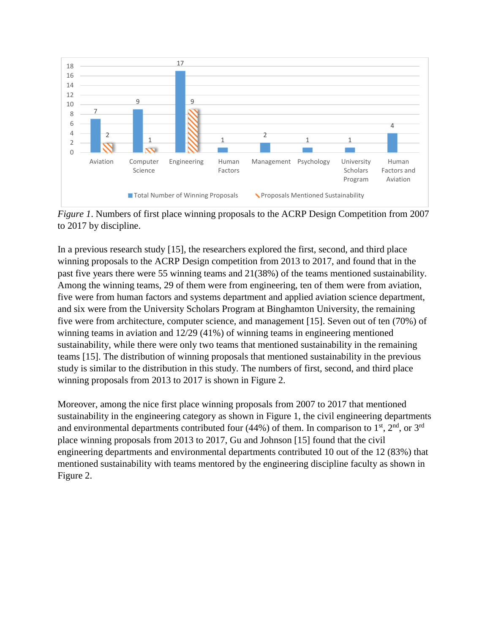

*Figure 1*. Numbers of first place winning proposals to the ACRP Design Competition from 2007 to 2017 by discipline.

In a previous research study [15], the researchers explored the first, second, and third place winning proposals to the ACRP Design competition from 2013 to 2017, and found that in the past five years there were 55 winning teams and 21(38%) of the teams mentioned sustainability. Among the winning teams, 29 of them were from engineering, ten of them were from aviation, five were from human factors and systems department and applied aviation science department, and six were from the University Scholars Program at Binghamton University, the remaining five were from architecture, computer science, and management [15]. Seven out of ten (70%) of winning teams in aviation and 12/29 (41%) of winning teams in engineering mentioned sustainability, while there were only two teams that mentioned sustainability in the remaining teams [15]. The distribution of winning proposals that mentioned sustainability in the previous study is similar to the distribution in this study. The numbers of first, second, and third place winning proposals from 2013 to 2017 is shown in Figure 2.

Moreover, among the nice first place winning proposals from 2007 to 2017 that mentioned sustainability in the engineering category as shown in Figure 1, the civil engineering departments and environmental departments contributed four (44%) of them. In comparison to  $1<sup>st</sup>$ ,  $2<sup>nd</sup>$ , or  $3<sup>rd</sup>$ place winning proposals from 2013 to 2017, Gu and Johnson [15] found that the civil engineering departments and environmental departments contributed 10 out of the 12 (83%) that mentioned sustainability with teams mentored by the engineering discipline faculty as shown in Figure 2.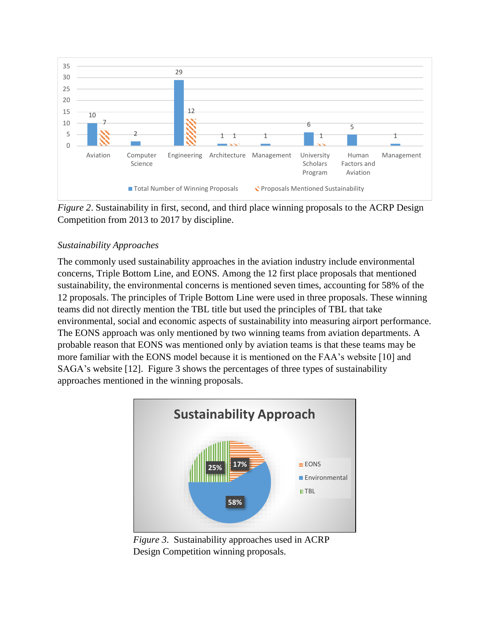

*Figure* 2. Sustainability in first, second, and third place winning proposals to the ACRP Design Competition from 2013 to 2017 by discipline.

# *Sustainability Approaches*

The commonly used sustainability approaches in the aviation industry include environmental concerns, Triple Bottom Line, and EONS. Among the 12 first place proposals that mentioned sustainability, the environmental concerns is mentioned seven times, accounting for 58% of the 12 proposals. The principles of Triple Bottom Line were used in three proposals. These winning teams did not directly mention the TBL title but used the principles of TBL that take environmental, social and economic aspects of sustainability into measuring airport performance. The EONS approach was only mentioned by two winning teams from aviation departments. A probable reason that EONS was mentioned only by aviation teams is that these teams may be more familiar with the EONS model because it is mentioned on the FAA's website [10] and SAGA's website [12]. Figure 3 shows the percentages of three types of sustainability approaches mentioned in the winning proposals.



*Figure 3*. Sustainability approaches used in ACRP Design Competition winning proposals.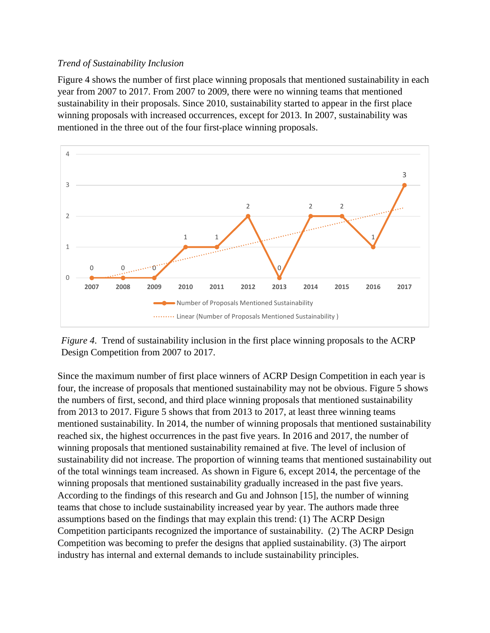## *Trend of Sustainability Inclusion*

Figure 4 shows the number of first place winning proposals that mentioned sustainability in each year from 2007 to 2017. From 2007 to 2009, there were no winning teams that mentioned sustainability in their proposals. Since 2010, sustainability started to appear in the first place winning proposals with increased occurrences, except for 2013. In 2007, sustainability was mentioned in the three out of the four first-place winning proposals.



*Figure 4*. Trend of sustainability inclusion in the first place winning proposals to the ACRP Design Competition from 2007 to 2017.

Since the maximum number of first place winners of ACRP Design Competition in each year is four, the increase of proposals that mentioned sustainability may not be obvious. Figure 5 shows the numbers of first, second, and third place winning proposals that mentioned sustainability from 2013 to 2017. Figure 5 shows that from 2013 to 2017, at least three winning teams mentioned sustainability. In 2014, the number of winning proposals that mentioned sustainability reached six, the highest occurrences in the past five years. In 2016 and 2017, the number of winning proposals that mentioned sustainability remained at five. The level of inclusion of sustainability did not increase. The proportion of winning teams that mentioned sustainability out of the total winnings team increased. As shown in Figure 6, except 2014, the percentage of the winning proposals that mentioned sustainability gradually increased in the past five years. According to the findings of this research and Gu and Johnson [15], the number of winning teams that chose to include sustainability increased year by year. The authors made three assumptions based on the findings that may explain this trend: (1) The ACRP Design Competition participants recognized the importance of sustainability. (2) The ACRP Design Competition was becoming to prefer the designs that applied sustainability. (3) The airport industry has internal and external demands to include sustainability principles.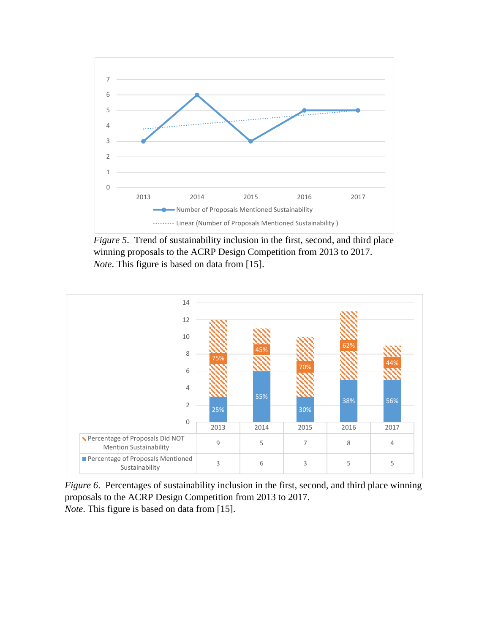

*Figure 5*. Trend of sustainability inclusion in the first, second, and third place winning proposals to the ACRP Design Competition from 2013 to 2017. *Note*. This figure is based on data from [15].



*Figure 6*. Percentages of sustainability inclusion in the first, second, and third place winning proposals to the ACRP Design Competition from 2013 to 2017. *Note*. This figure is based on data from [15].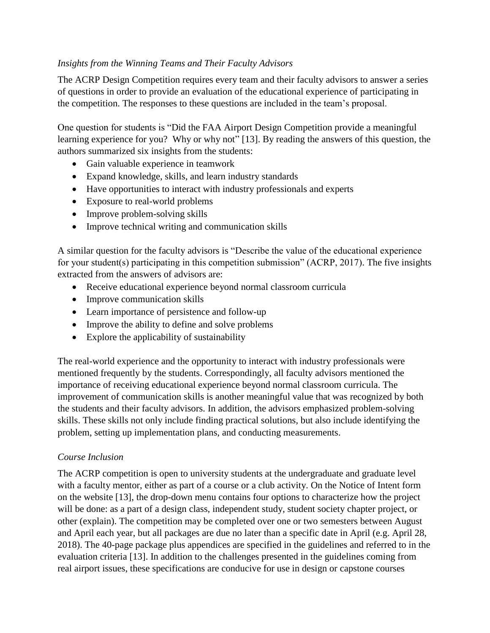## *Insights from the Winning Teams and Their Faculty Advisors*

The ACRP Design Competition requires every team and their faculty advisors to answer a series of questions in order to provide an evaluation of the educational experience of participating in the competition. The responses to these questions are included in the team's proposal.

One question for students is "Did the FAA Airport Design Competition provide a meaningful learning experience for you? Why or why not" [13]. By reading the answers of this question, the authors summarized six insights from the students:

- Gain valuable experience in teamwork
- Expand knowledge, skills, and learn industry standards
- Have opportunities to interact with industry professionals and experts
- Exposure to real-world problems
- Improve problem-solving skills
- Improve technical writing and communication skills

A similar question for the faculty advisors is "Describe the value of the educational experience for your student(s) participating in this competition submission" (ACRP, 2017). The five insights extracted from the answers of advisors are:

- Receive educational experience beyond normal classroom curricula
- Improve communication skills
- Learn importance of persistence and follow-up
- Improve the ability to define and solve problems
- Explore the applicability of sustainability

The real-world experience and the opportunity to interact with industry professionals were mentioned frequently by the students. Correspondingly, all faculty advisors mentioned the importance of receiving educational experience beyond normal classroom curricula. The improvement of communication skills is another meaningful value that was recognized by both the students and their faculty advisors. In addition, the advisors emphasized problem-solving skills. These skills not only include finding practical solutions, but also include identifying the problem, setting up implementation plans, and conducting measurements.

## *Course Inclusion*

The ACRP competition is open to university students at the undergraduate and graduate level with a faculty mentor, either as part of a course or a club activity. On the Notice of Intent form on the website [13], the drop-down menu contains four options to characterize how the project will be done: as a part of a design class, independent study, student society chapter project, or other (explain). The competition may be completed over one or two semesters between August and April each year, but all packages are due no later than a specific date in April (e.g. April 28, 2018). The 40-page package plus appendices are specified in the guidelines and referred to in the evaluation criteria [13]. In addition to the challenges presented in the guidelines coming from real airport issues, these specifications are conducive for use in design or capstone courses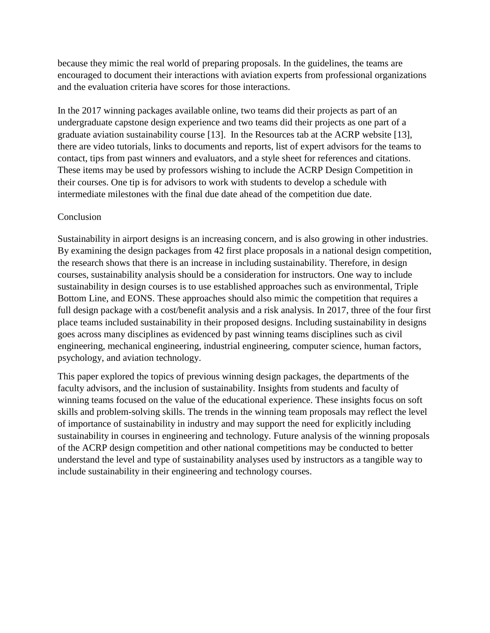because they mimic the real world of preparing proposals. In the guidelines, the teams are encouraged to document their interactions with aviation experts from professional organizations and the evaluation criteria have scores for those interactions.

In the 2017 winning packages available online, two teams did their projects as part of an undergraduate capstone design experience and two teams did their projects as one part of a graduate aviation sustainability course [13]. In the Resources tab at the ACRP website [13], there are video tutorials, links to documents and reports, list of expert advisors for the teams to contact, tips from past winners and evaluators, and a style sheet for references and citations. These items may be used by professors wishing to include the ACRP Design Competition in their courses. One tip is for advisors to work with students to develop a schedule with intermediate milestones with the final due date ahead of the competition due date.

### **Conclusion**

Sustainability in airport designs is an increasing concern, and is also growing in other industries. By examining the design packages from 42 first place proposals in a national design competition, the research shows that there is an increase in including sustainability. Therefore, in design courses, sustainability analysis should be a consideration for instructors. One way to include sustainability in design courses is to use established approaches such as environmental, Triple Bottom Line, and EONS. These approaches should also mimic the competition that requires a full design package with a cost/benefit analysis and a risk analysis. In 2017, three of the four first place teams included sustainability in their proposed designs. Including sustainability in designs goes across many disciplines as evidenced by past winning teams disciplines such as civil engineering, mechanical engineering, industrial engineering, computer science, human factors, psychology, and aviation technology.

This paper explored the topics of previous winning design packages, the departments of the faculty advisors, and the inclusion of sustainability. Insights from students and faculty of winning teams focused on the value of the educational experience. These insights focus on soft skills and problem-solving skills. The trends in the winning team proposals may reflect the level of importance of sustainability in industry and may support the need for explicitly including sustainability in courses in engineering and technology. Future analysis of the winning proposals of the ACRP design competition and other national competitions may be conducted to better understand the level and type of sustainability analyses used by instructors as a tangible way to include sustainability in their engineering and technology courses.